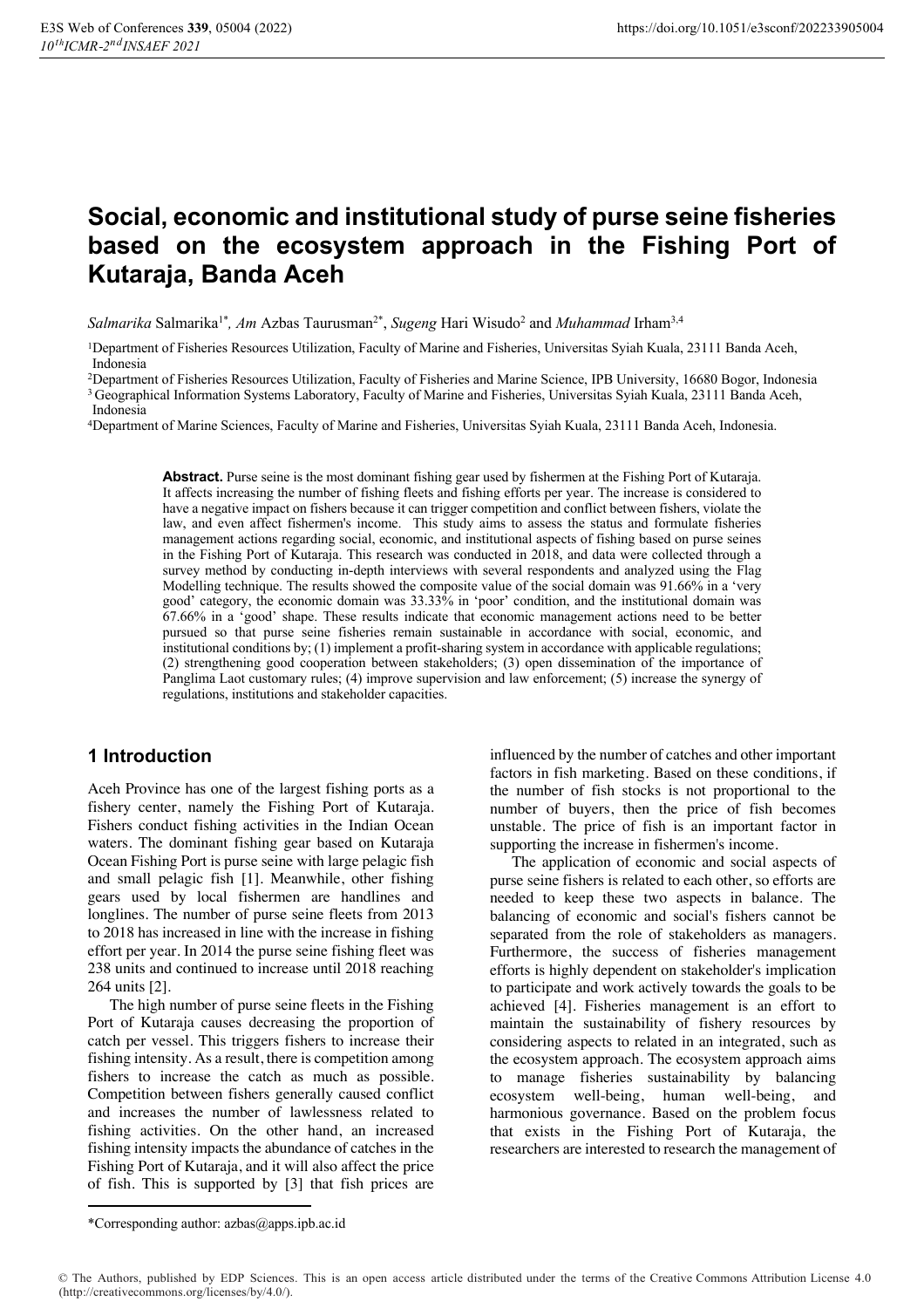## **Social, economic and institutional study of purse seine fisheries based on the ecosystem approach in the Fishing Port of Kutaraja, Banda Aceh**

*Salmarika* Salmarika1\**, Am* Azbas Taurusman2\*, *Sugeng* Hari Wisudo2 and *Muhammad* Irham3,4

1Department of Fisheries Resources Utilization, Faculty of Marine and Fisheries, Universitas Syiah Kuala, 23111 Banda Aceh, Indonesia

2Department of Fisheries Resources Utilization, Faculty of Fisheries and Marine Science, IPB University, 16680 Bogor, Indonesia 3 Geographical Information Systems Laboratory, Faculty of Marine and Fisheries, Universitas Syiah Kuala, 23111 Banda Aceh,

Indonesia

4Department of Marine Sciences, Faculty of Marine and Fisheries, Universitas Syiah Kuala, 23111 Banda Aceh, Indonesia.

**Abstract.** Purse seine is the most dominant fishing gear used by fishermen at the Fishing Port of Kutaraja. It affects increasing the number of fishing fleets and fishing efforts per year. The increase is considered to have a negative impact on fishers because it can trigger competition and conflict between fishers, violate the law, and even affect fishermen's income. This study aims to assess the status and formulate fisheries management actions regarding social, economic, and institutional aspects of fishing based on purse seines in the Fishing Port of Kutaraja. This research was conducted in 2018, and data were collected through a survey method by conducting in-depth interviews with several respondents and analyzed using the Flag Modelling technique. The results showed the composite value of the social domain was 91.66% in a 'very good' category, the economic domain was 33.33% in 'poor' condition, and the institutional domain was 67.66% in a 'good' shape. These results indicate that economic management actions need to be better pursued so that purse seine fisheries remain sustainable in accordance with social, economic, and institutional conditions by; (1) implement a profit-sharing system in accordance with applicable regulations; (2) strengthening good cooperation between stakeholders; (3) open dissemination of the importance of Panglima Laot customary rules; (4) improve supervision and law enforcement; (5) increase the synergy of regulations, institutions and stakeholder capacities.

#### **1 Introduction**

Aceh Province has one of the largest fishing ports as a fishery center, namely the Fishing Port of Kutaraja. Fishers conduct fishing activities in the Indian Ocean waters. The dominant fishing gear based on Kutaraja Ocean Fishing Port is purse seine with large pelagic fish and small pelagic fish [1]. Meanwhile, other fishing gears used by local fishermen are handlines and longlines. The number of purse seine fleets from 2013 to 2018 has increased in line with the increase in fishing effort per year. In 2014 the purse seine fishing fleet was 238 units and continued to increase until 2018 reaching 264 units [2].

The high number of purse seine fleets in the Fishing Port of Kutaraja causes decreasing the proportion of catch per vessel. This triggers fishers to increase their fishing intensity. As a result, there is competition among fishers to increase the catch as much as possible. Competition between fishers generally caused conflict and increases the number of lawlessness related to fishing activities. On the other hand, an increased fishing intensity impacts the abundance of catches in the Fishing Port of Kutaraja, and it will also affect the price of fish. This is supported by [3] that fish prices are

influenced by the number of catches and other important factors in fish marketing. Based on these conditions, if the number of fish stocks is not proportional to the number of buyers, then the price of fish becomes unstable. The price of fish is an important factor in supporting the increase in fishermen's income.

The application of economic and social aspects of purse seine fishers is related to each other, so efforts are needed to keep these two aspects in balance. The balancing of economic and social's fishers cannot be separated from the role of stakeholders as managers. Furthermore, the success of fisheries management efforts is highly dependent on stakeholder's implication to participate and work actively towards the goals to be achieved [4]. Fisheries management is an effort to maintain the sustainability of fishery resources by considering aspects to related in an integrated, such as the ecosystem approach. The ecosystem approach aims to manage fisheries sustainability by balancing ecosystem well-being, human well-being, and harmonious governance. Based on the problem focus that exists in the Fishing Port of Kutaraja, the researchers are interested to research the management of

 $\overline{a}$ 

<sup>\*</sup>Corresponding author: azbas@apps.ipb.ac.id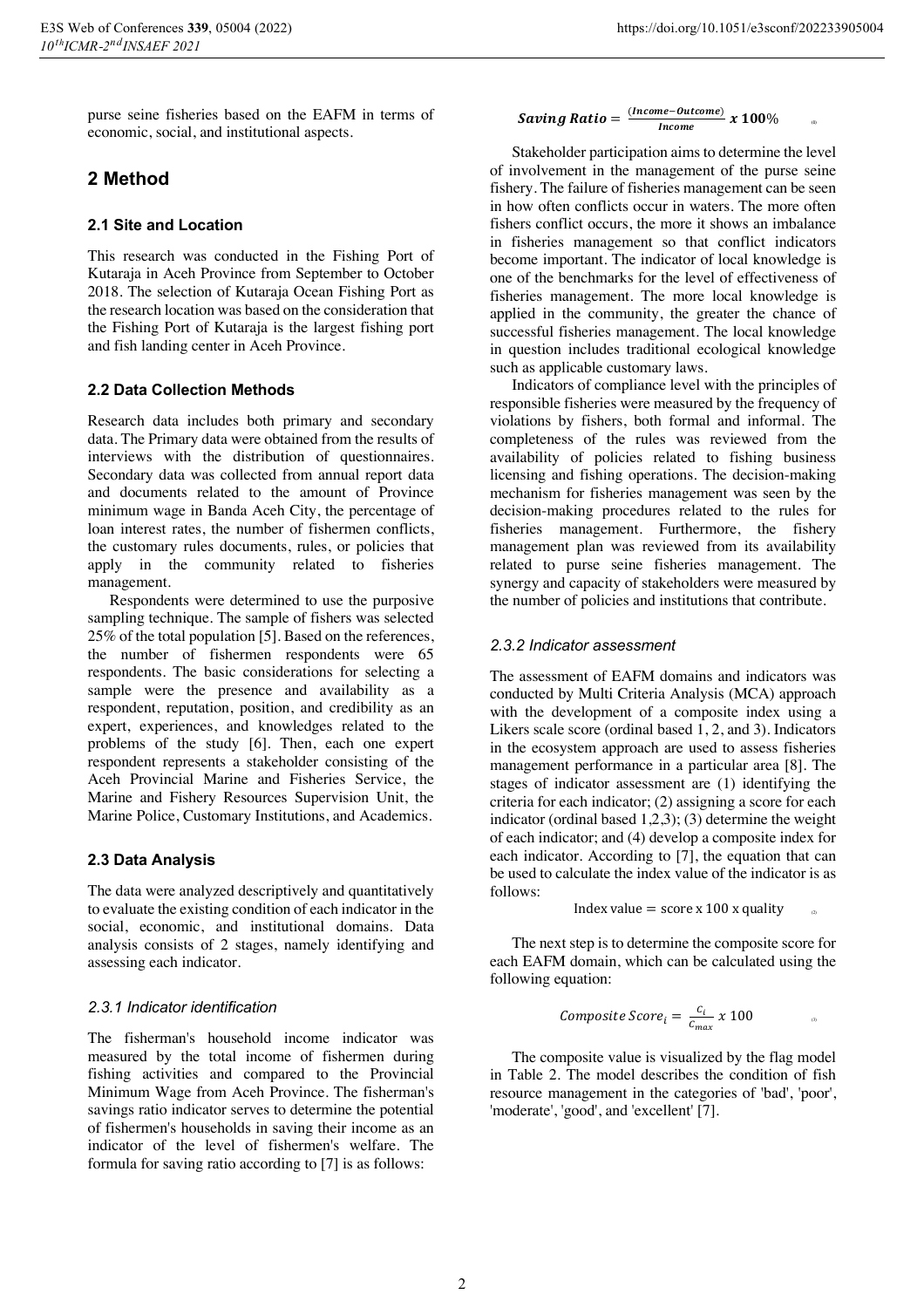purse seine fisheries based on the EAFM in terms of economic, social, and institutional aspects.

## **2 Method**

#### **2.1 Site and Location**

This research was conducted in the Fishing Port of Kutaraja in Aceh Province from September to October 2018. The selection of Kutaraja Ocean Fishing Port as the research location was based on the consideration that the Fishing Port of Kutaraja is the largest fishing port and fish landing center in Aceh Province.

#### **2.2 Data Collection Methods**

Research data includes both primary and secondary data. The Primary data were obtained from the results of interviews with the distribution of questionnaires. Secondary data was collected from annual report data and documents related to the amount of Province minimum wage in Banda Aceh City, the percentage of loan interest rates, the number of fishermen conflicts, the customary rules documents, rules, or policies that apply in the community related to fisheries management.

Respondents were determined to use the purposive sampling technique. The sample of fishers was selected 25% of the total population [5]. Based on the references, the number of fishermen respondents were 65 respondents. The basic considerations for selecting a sample were the presence and availability as a respondent, reputation, position, and credibility as an expert, experiences, and knowledges related to the problems of the study [6]. Then, each one expert respondent represents a stakeholder consisting of the Aceh Provincial Marine and Fisheries Service, the Marine and Fishery Resources Supervision Unit, the Marine Police, Customary Institutions, and Academics.

#### **2.3 Data Analysis**

The data were analyzed descriptively and quantitatively to evaluate the existing condition of each indicator in the social, economic, and institutional domains. Data analysis consists of 2 stages, namely identifying and assessing each indicator.

#### *2.3.1 Indicator identification*

The fisherman's household income indicator was measured by the total income of fishermen during fishing activities and compared to the Provincial Minimum Wage from Aceh Province. The fisherman's savings ratio indicator serves to determine the potential of fishermen's households in saving their income as an indicator of the level of fishermen's welfare. The formula for saving ratio according to [7] is as follows:

# **Saving Ratio** =  $\frac{(income-outcome)}{Income}$  **x** 100%

Stakeholder participation aims to determine the level of involvement in the management of the purse seine fishery. The failure of fisheries management can be seen in how often conflicts occur in waters. The more often fishers conflict occurs, the more it shows an imbalance in fisheries management so that conflict indicators become important. The indicator of local knowledge is one of the benchmarks for the level of effectiveness of fisheries management. The more local knowledge is applied in the community, the greater the chance of successful fisheries management. The local knowledge in question includes traditional ecological knowledge such as applicable customary laws.

Indicators of compliance level with the principles of responsible fisheries were measured by the frequency of violations by fishers, both formal and informal. The completeness of the rules was reviewed from the availability of policies related to fishing business licensing and fishing operations. The decision-making mechanism for fisheries management was seen by the decision-making procedures related to the rules for fisheries management. Furthermore, the fishery management plan was reviewed from its availability related to purse seine fisheries management. The synergy and capacity of stakeholders were measured by the number of policies and institutions that contribute.

#### *2.3.2 Indicator assessment*

The assessment of EAFM domains and indicators was conducted by Multi Criteria Analysis (MCA) approach with the development of a composite index using a Likers scale score (ordinal based 1, 2, and 3). Indicators in the ecosystem approach are used to assess fisheries management performance in a particular area [8]. The stages of indicator assessment are (1) identifying the criteria for each indicator; (2) assigning a score for each indicator (ordinal based 1,2,3); (3) determine the weight of each indicator; and (4) develop a composite index for each indicator. According to [7], the equation that can be used to calculate the index value of the indicator is as follows:

Index value =  $score x 100 x$  quality

The next step is to determine the composite score for each EAFM domain, which can be calculated using the following equation:

$$
Composite Score_i = \frac{c_i}{c_{max}} \times 100
$$

The composite value is visualized by the flag model in Table 2. The model describes the condition of fish resource management in the categories of 'bad', 'poor', 'moderate', 'good', and 'excellent' [7].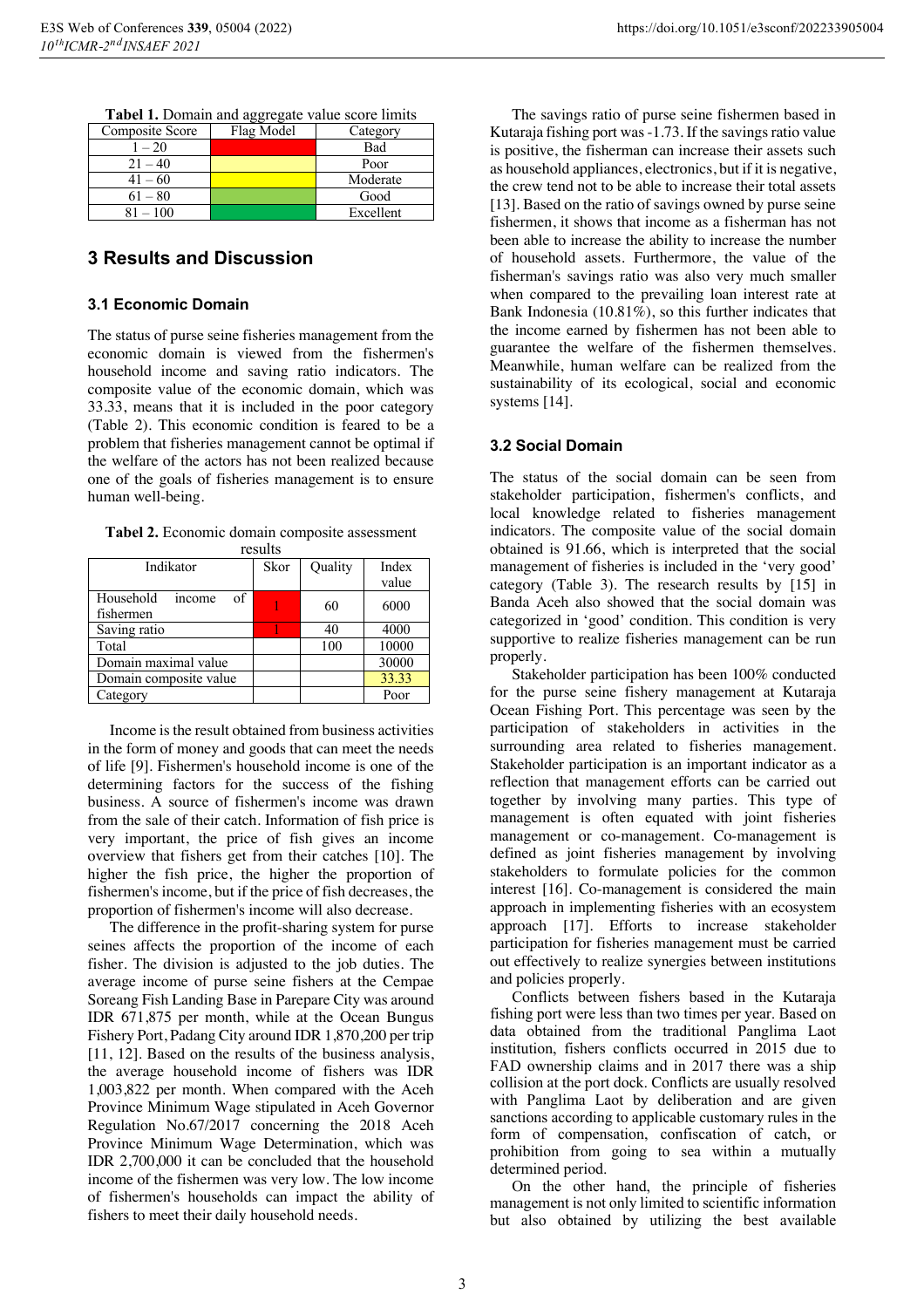| Tabel 1. Domain and aggregate value score limits |  |
|--------------------------------------------------|--|
|--------------------------------------------------|--|

| Composite Score | Flag Model | Category  |
|-----------------|------------|-----------|
| $1 - 20$        |            | Bad       |
| $21 - 40$       |            | Poor      |
| $41 - 60$       |            | Moderate  |
| $61 - 80$       |            | Good      |
| $81 - 100$      |            | Excellent |

#### **3 Results and Discussion**

#### **3.1 Economic Domain**

The status of purse seine fisheries management from the economic domain is viewed from the fishermen's household income and saving ratio indicators. The composite value of the economic domain, which was 33.33, means that it is included in the poor category (Table 2). This economic condition is feared to be a problem that fisheries management cannot be optimal if the welfare of the actors has not been realized because one of the goals of fisheries management is to ensure human well-being.

**Tabel 2.** Economic domain composite assessment

| results                                |      |         |       |
|----------------------------------------|------|---------|-------|
| Indikator                              | Skor | Quality | Index |
|                                        |      |         | value |
| Household<br>of<br>income<br>fishermen |      | 60      | 6000  |
| Saving ratio                           |      | 40      | 4000  |
| Total                                  |      | 100     | 10000 |
| Domain maximal value                   |      |         | 30000 |
| Domain composite value                 |      |         | 33.33 |
| Category                               |      |         | Poor  |

Income is the result obtained from business activities in the form of money and goods that can meet the needs of life [9]. Fishermen's household income is one of the determining factors for the success of the fishing business. A source of fishermen's income was drawn from the sale of their catch. Information of fish price is very important, the price of fish gives an income overview that fishers get from their catches [10]. The higher the fish price, the higher the proportion of fishermen's income, but if the price of fish decreases, the proportion of fishermen's income will also decrease.

The difference in the profit-sharing system for purse seines affects the proportion of the income of each fisher. The division is adjusted to the job duties. The average income of purse seine fishers at the Cempae Soreang Fish Landing Base in Parepare City was around IDR 671,875 per month, while at the Ocean Bungus Fishery Port, Padang City around IDR 1,870,200 per trip [11, 12]. Based on the results of the business analysis, the average household income of fishers was IDR 1,003,822 per month. When compared with the Aceh Province Minimum Wage stipulated in Aceh Governor Regulation No.67/2017 concerning the 2018 Aceh Province Minimum Wage Determination, which was IDR 2,700,000 it can be concluded that the household income of the fishermen was very low. The low income of fishermen's households can impact the ability of fishers to meet their daily household needs.

The savings ratio of purse seine fishermen based in Kutaraja fishing port was -1.73. If the savings ratio value is positive, the fisherman can increase their assets such as household appliances, electronics, but if it is negative, the crew tend not to be able to increase their total assets [13]. Based on the ratio of savings owned by purse seine fishermen, it shows that income as a fisherman has not been able to increase the ability to increase the number of household assets. Furthermore, the value of the fisherman's savings ratio was also very much smaller when compared to the prevailing loan interest rate at Bank Indonesia (10.81%), so this further indicates that the income earned by fishermen has not been able to guarantee the welfare of the fishermen themselves. Meanwhile, human welfare can be realized from the sustainability of its ecological, social and economic systems [14].

#### **3.2 Social Domain**

The status of the social domain can be seen from stakeholder participation, fishermen's conflicts, and local knowledge related to fisheries management indicators. The composite value of the social domain obtained is 91.66, which is interpreted that the social management of fisheries is included in the 'very good' category (Table 3). The research results by [15] in Banda Aceh also showed that the social domain was categorized in 'good' condition. This condition is very supportive to realize fisheries management can be run properly.

Stakeholder participation has been 100% conducted for the purse seine fishery management at Kutaraja Ocean Fishing Port. This percentage was seen by the participation of stakeholders in activities in the surrounding area related to fisheries management. Stakeholder participation is an important indicator as a reflection that management efforts can be carried out together by involving many parties. This type of management is often equated with joint fisheries management or co-management. Co-management is defined as joint fisheries management by involving stakeholders to formulate policies for the common interest [16]. Co-management is considered the main approach in implementing fisheries with an ecosystem approach [17]. Efforts to increase stakeholder participation for fisheries management must be carried out effectively to realize synergies between institutions and policies properly.

Conflicts between fishers based in the Kutaraja fishing port were less than two times per year. Based on data obtained from the traditional Panglima Laot institution, fishers conflicts occurred in 2015 due to FAD ownership claims and in 2017 there was a ship collision at the port dock. Conflicts are usually resolved with Panglima Laot by deliberation and are given sanctions according to applicable customary rules in the form of compensation, confiscation of catch, or prohibition from going to sea within a mutually determined period.

On the other hand, the principle of fisheries management is not only limited to scientific information but also obtained by utilizing the best available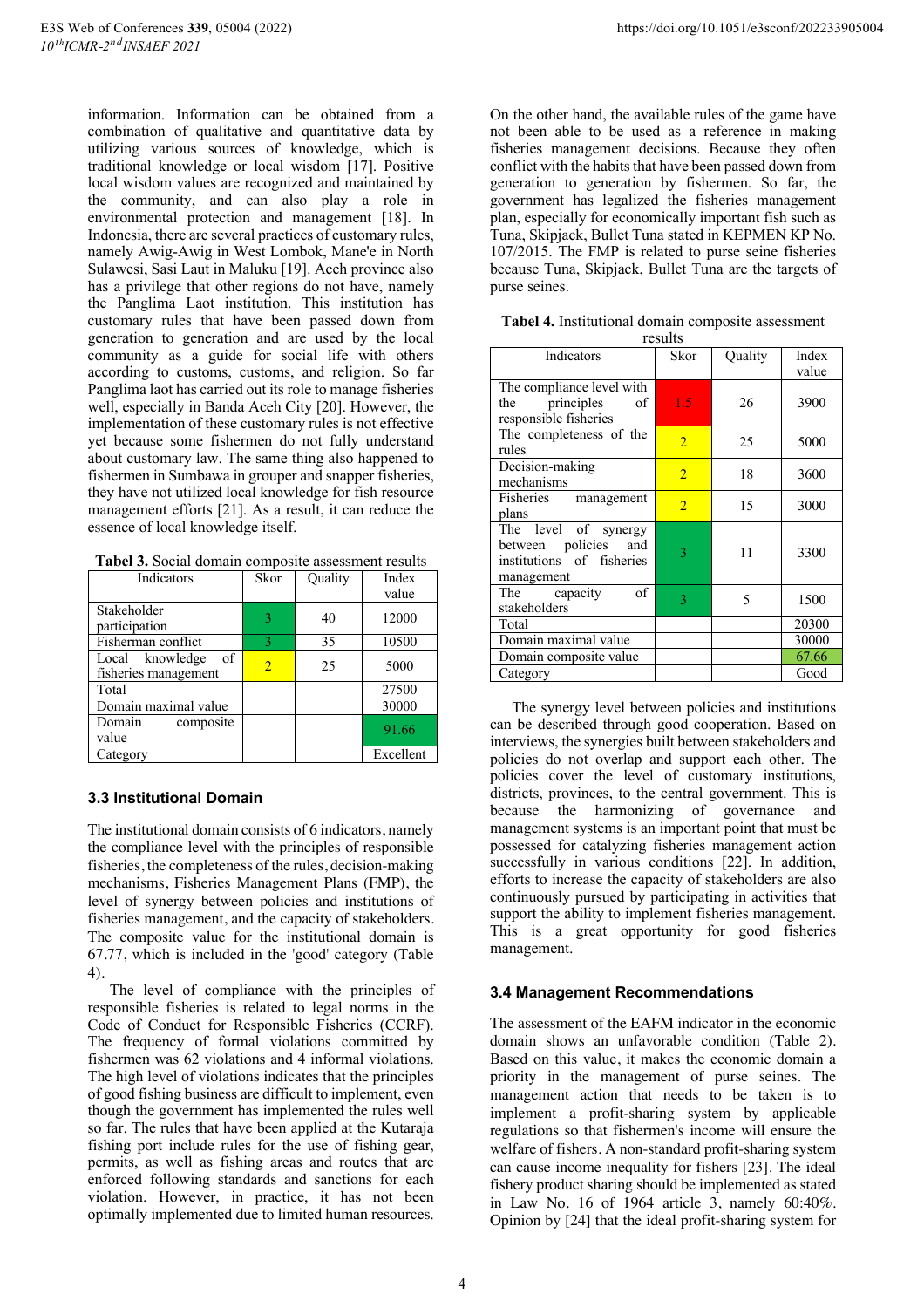information. Information can be obtained from a combination of qualitative and quantitative data by utilizing various sources of knowledge, which is traditional knowledge or local wisdom [17]. Positive local wisdom values are recognized and maintained by the community, and can also play a role in environmental protection and management [18]. In Indonesia, there are several practices of customary rules, namely Awig-Awig in West Lombok, Mane'e in North Sulawesi, Sasi Laut in Maluku [19]. Aceh province also has a privilege that other regions do not have, namely the Panglima Laot institution. This institution has customary rules that have been passed down from generation to generation and are used by the local community as a guide for social life with others according to customs, customs, and religion. So far Panglima laot has carried out its role to manage fisheries well, especially in Banda Aceh City [20]. However, the implementation of these customary rules is not effective yet because some fishermen do not fully understand about customary law. The same thing also happened to fishermen in Sumbawa in grouper and snapper fisheries, they have not utilized local knowledge for fish resource management efforts [21]. As a result, it can reduce the essence of local knowledge itself.

| Tabel 3. Social domain composite assessment results |  |  |
|-----------------------------------------------------|--|--|
|-----------------------------------------------------|--|--|

| Indicators                                    | Skor                     | Quality | Index<br>value |
|-----------------------------------------------|--------------------------|---------|----------------|
| Stakeholder<br>participation                  | 3                        | 40      | 12000          |
| Fisherman conflict                            | 3                        | 35      | 10500          |
| Local knowledge<br>of<br>fisheries management | $\overline{\mathcal{L}}$ | 25      | 5000           |
| Total                                         |                          |         | 27500          |
| Domain maximal value                          |                          |         | 30000          |
| Domain<br>composite<br>value                  |                          |         | 91.66          |
| Category                                      |                          |         | Excellent      |

#### **3.3 Institutional Domain**

The institutional domain consists of 6 indicators, namely the compliance level with the principles of responsible fisheries, the completeness of the rules, decision-making mechanisms, Fisheries Management Plans (FMP), the level of synergy between policies and institutions of fisheries management, and the capacity of stakeholders. The composite value for the institutional domain is 67.77, which is included in the 'good' category (Table 4).

The level of compliance with the principles of responsible fisheries is related to legal norms in the Code of Conduct for Responsible Fisheries (CCRF). The frequency of formal violations committed by fishermen was 62 violations and 4 informal violations. The high level of violations indicates that the principles of good fishing business are difficult to implement, even though the government has implemented the rules well so far. The rules that have been applied at the Kutaraja fishing port include rules for the use of fishing gear, permits, as well as fishing areas and routes that are enforced following standards and sanctions for each violation. However, in practice, it has not been optimally implemented due to limited human resources.

On the other hand, the available rules of the game have not been able to be used as a reference in making fisheries management decisions. Because they often conflict with the habits that have been passed down from generation to generation by fishermen. So far, the government has legalized the fisheries management plan, especially for economically important fish such as Tuna, Skipjack, Bullet Tuna stated in KEPMEN KP No. 107/2015. The FMP is related to purse seine fisheries because Tuna, Skipjack, Bullet Tuna are the targets of purse seines.

| Tabel 4. Institutional domain composite assessment |       |  |
|----------------------------------------------------|-------|--|
|                                                    | max16 |  |

|                                                                                         | TUSUILS        |         |       |
|-----------------------------------------------------------------------------------------|----------------|---------|-------|
| Indicators                                                                              | Skor           | Quality | Index |
|                                                                                         |                |         | value |
| The compliance level with<br>the principles<br>of<br>responsible fisheries              | 1.5            | 26      | 3900  |
| The completeness of the<br>rules                                                        | $\overline{2}$ | 25      | 5000  |
| Decision-making<br>mechanisms                                                           | $\overline{2}$ | 18      | 3600  |
| Fisheries<br>management<br>plans                                                        | $\overline{2}$ | 15      | 3000  |
| The level of synergy<br>between policies and<br>institutions of fisheries<br>management | 3              | 11      | 3300  |
| of<br>The capacity<br>stakeholders                                                      | 3              | 5       | 1500  |
| Total                                                                                   |                |         | 20300 |
| Domain maximal value                                                                    |                |         | 30000 |
| Domain composite value                                                                  |                |         | 67.66 |
| Category                                                                                |                |         | Good  |

The synergy level between policies and institutions can be described through good cooperation. Based on interviews, the synergies built between stakeholders and policies do not overlap and support each other. The policies cover the level of customary institutions, districts, provinces, to the central government. This is because the harmonizing of governance and management systems is an important point that must be possessed for catalyzing fisheries management action successfully in various conditions [22]. In addition, efforts to increase the capacity of stakeholders are also continuously pursued by participating in activities that support the ability to implement fisheries management. This is a great opportunity for good fisheries management.

#### **3.4 Management Recommendations**

The assessment of the EAFM indicator in the economic domain shows an unfavorable condition (Table 2). Based on this value, it makes the economic domain a priority in the management of purse seines. The management action that needs to be taken is to implement a profit-sharing system by applicable regulations so that fishermen's income will ensure the welfare of fishers. A non-standard profit-sharing system can cause income inequality for fishers [23]. The ideal fishery product sharing should be implemented as stated in Law No. 16 of 1964 article 3, namely 60:40%. Opinion by [24] that the ideal profit-sharing system for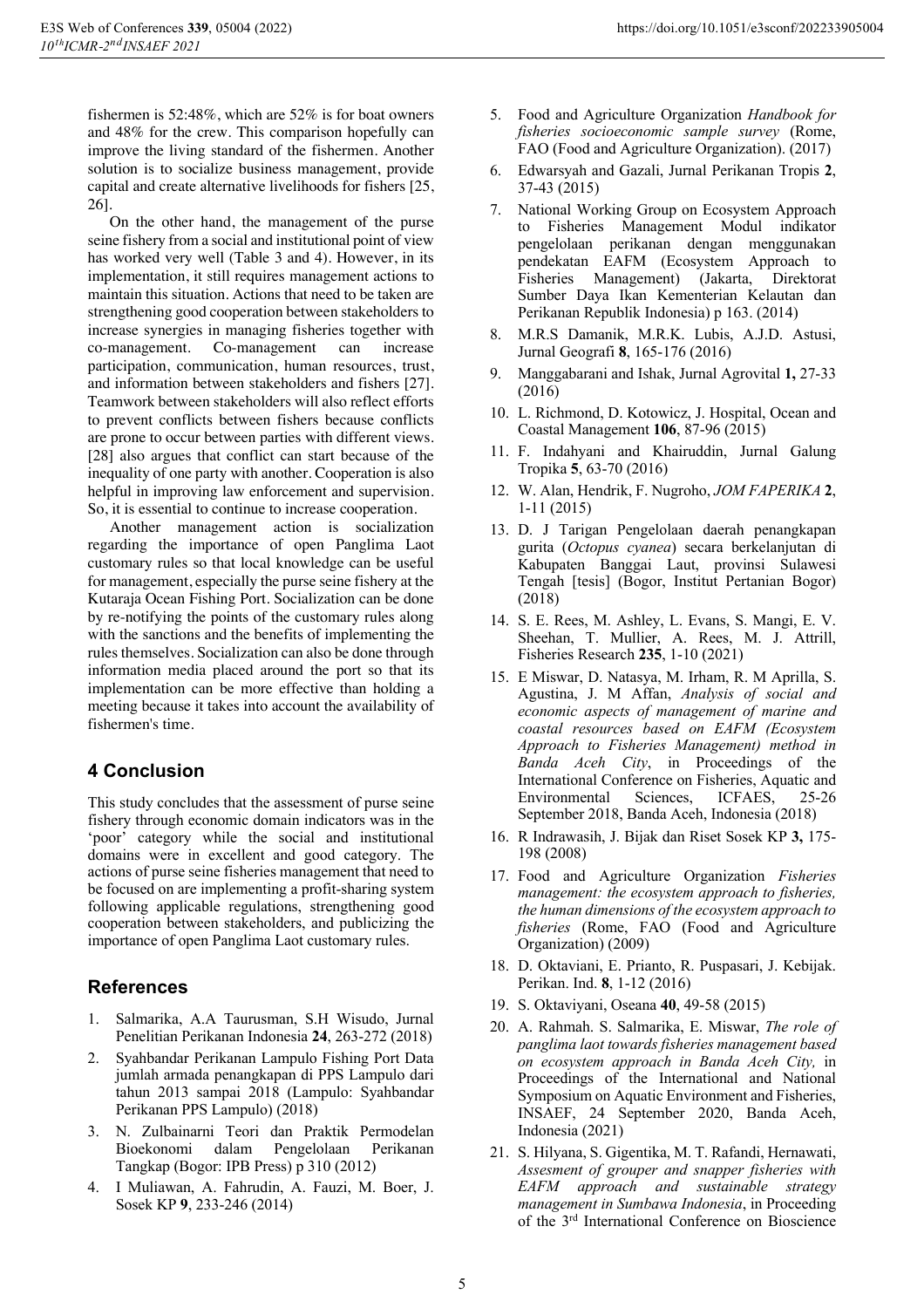fishermen is 52:48%, which are 52% is for boat owners and 48% for the crew. This comparison hopefully can improve the living standard of the fishermen. Another solution is to socialize business management, provide capital and create alternative livelihoods for fishers [25, 26].

On the other hand, the management of the purse seine fishery from a social and institutional point of view has worked very well (Table 3 and 4). However, in its implementation, it still requires management actions to maintain this situation. Actions that need to be taken are strengthening good cooperation between stakeholders to increase synergies in managing fisheries together with co-management. Co-management can increase participation, communication, human resources, trust, and information between stakeholders and fishers [27]. Teamwork between stakeholders will also reflect efforts to prevent conflicts between fishers because conflicts are prone to occur between parties with different views. [28] also argues that conflict can start because of the inequality of one party with another. Cooperation is also helpful in improving law enforcement and supervision. So, it is essential to continue to increase cooperation.

Another management action is socialization regarding the importance of open Panglima Laot customary rules so that local knowledge can be useful for management, especially the purse seine fishery at the Kutaraja Ocean Fishing Port. Socialization can be done by re-notifying the points of the customary rules along with the sanctions and the benefits of implementing the rules themselves. Socialization can also be done through information media placed around the port so that its implementation can be more effective than holding a meeting because it takes into account the availability of fishermen's time.

## **4 Conclusion**

This study concludes that the assessment of purse seine fishery through economic domain indicators was in the 'poor' category while the social and institutional domains were in excellent and good category. The actions of purse seine fisheries management that need to be focused on are implementing a profit-sharing system following applicable regulations, strengthening good cooperation between stakeholders, and publicizing the importance of open Panglima Laot customary rules.

## **References**

- 1. Salmarika, A.A Taurusman, S.H Wisudo, Jurnal Penelitian Perikanan Indonesia **24**, 263-272 (2018)
- 2. Syahbandar Perikanan Lampulo Fishing Port Data jumlah armada penangkapan di PPS Lampulo dari tahun 2013 sampai 2018 (Lampulo: Syahbandar Perikanan PPS Lampulo) (2018)
- 3. N. Zulbainarni Teori dan Praktik Permodelan Bioekonomi dalam Pengelolaan Perikanan Tangkap (Bogor: IPB Press) p 310 (2012)
- 4. I Muliawan, A. Fahrudin, A. Fauzi, M. Boer, J. Sosek KP **9**, 233-246 (2014)
- 5. Food and Agriculture Organization *Handbook for fisheries socioeconomic sample survey* (Rome, FAO (Food and Agriculture Organization). (2017)
- 6. Edwarsyah and Gazali, Jurnal Perikanan Tropis **2**, 37-43 (2015)
- 7. National Working Group on Ecosystem Approach to Fisheries Management Modul indikator pengelolaan perikanan dengan menggunakan pendekatan EAFM (Ecosystem Approach to Fisheries Management) (Jakarta, Direktorat Sumber Daya Ikan Kementerian Kelautan dan Perikanan Republik Indonesia) p 163. (2014)
- 8. M.R.S Damanik, M.R.K. Lubis, A.J.D. Astusi, Jurnal Geografi **8**, 165-176 (2016)
- 9. Manggabarani and Ishak, Jurnal Agrovital **1,** 27-33 (2016)
- 10. L. Richmond, D. Kotowicz, J. Hospital, Ocean and Coastal Management **106**, 87-96 (2015)
- 11. F. Indahyani and Khairuddin, Jurnal Galung Tropika **5**, 63-70 (2016)
- 12. W. Alan, Hendrik, F. Nugroho, *JOM FAPERIKA* **2**, 1-11 (2015)
- 13. D. J Tarigan Pengelolaan daerah penangkapan gurita (*Octopus cyanea*) secara berkelanjutan di Kabupaten Banggai Laut, provinsi Sulawesi Tengah [tesis] (Bogor, Institut Pertanian Bogor) (2018)
- 14. S. E. Rees, M. Ashley, L. Evans, S. Mangi, E. V. Sheehan, T. Mullier, A. Rees, M. J. Attrill, Fisheries Research **235**, 1-10 (2021)
- 15. E Miswar, D. Natasya, M. Irham, R. M Aprilla, S. Agustina, J. M Affan, *Analysis of social and economic aspects of management of marine and coastal resources based on EAFM (Ecosystem Approach to Fisheries Management) method in Banda Aceh City*, in Proceedings of the International Conference on Fisheries, Aquatic and Environmental Sciences, ICFAES, 25-26 September 2018, Banda Aceh, Indonesia (2018)
- 16. R Indrawasih, J. Bijak dan Riset Sosek KP **3,** 175- 198 (2008)
- 17. Food and Agriculture Organization *Fisheries management: the ecosystem approach to fisheries, the human dimensions of the ecosystem approach to fisheries* (Rome, FAO (Food and Agriculture Organization) (2009)
- 18. D. Oktaviani, E. Prianto, R. Puspasari, J. Kebijak. Perikan. Ind. **8**, 1-12 (2016)
- 19. S. Oktaviyani, Oseana **40**, 49-58 (2015)
- 20. A. Rahmah. S. Salmarika, E. Miswar, *The role of panglima laot towards fisheries management based on ecosystem approach in Banda Aceh City,* in Proceedings of the International and National Symposium on Aquatic Environment and Fisheries, INSAEF, 24 September 2020, Banda Aceh, Indonesia (2021)
- 21. S. Hilyana, S. Gigentika, M. T. Rafandi, Hernawati, *Assesment of grouper and snapper fisheries with EAFM approach and sustainable strategy management in Sumbawa Indonesia*, in Proceeding of the 3rd International Conference on Bioscience